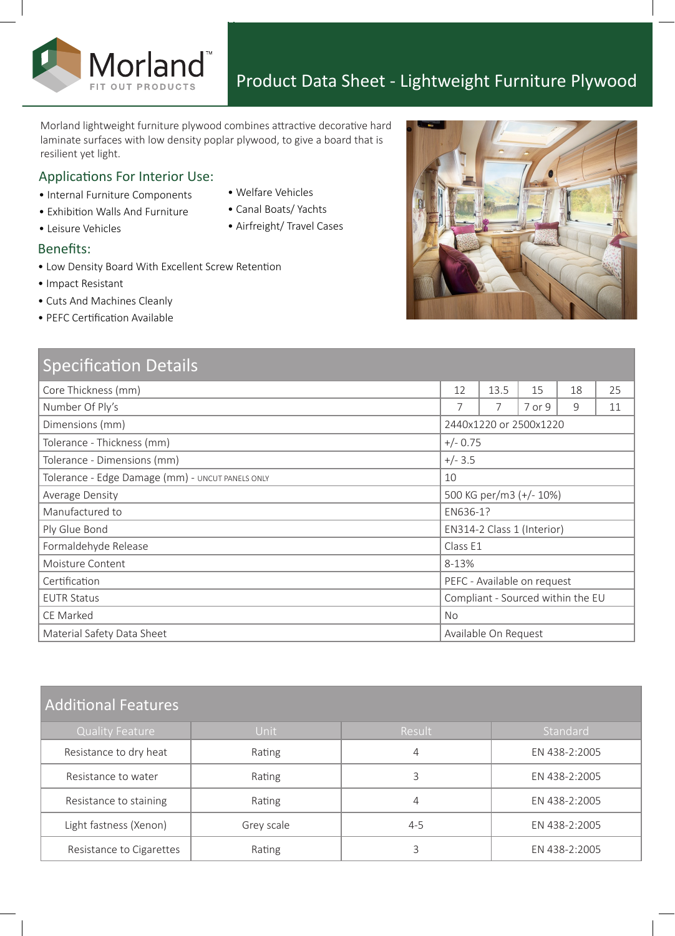

Morland lightweight furniture plywood combines attractive decorative hard laminate surfaces with low density poplar plywood, to give a board that is resilient yet light.

#### Applications For Interior Use:

Morland

- Internal Furniture Components
- Exhibition Walls And Furniture
- 
- -

#### Benefits:

- Low Density Board With Excellent Screw Retention
- Impact Resistant

• Leisure Vehicles

- Cuts And Machines Cleanly
- PEFC Certification Available

| <b>Specification Details</b>                     |                                   |      |        |    |    |
|--------------------------------------------------|-----------------------------------|------|--------|----|----|
| Core Thickness (mm)                              | 12                                | 13.5 | 15     | 18 | 25 |
| Number Of Ply's                                  | $\overline{7}$                    | 7    | 7 or 9 | 9  | 11 |
| Dimensions (mm)                                  | 2440x1220 or 2500x1220            |      |        |    |    |
| Tolerance - Thickness (mm)                       | $+/- 0.75$                        |      |        |    |    |
| Tolerance - Dimensions (mm)                      | $+/- 3.5$                         |      |        |    |    |
| Tolerance - Edge Damage (mm) - UNCUT PANELS ONLY | 10                                |      |        |    |    |
| Average Density                                  | 500 KG per/m3 (+/- 10%)           |      |        |    |    |
| Manufactured to                                  | EN636-1?                          |      |        |    |    |
| Ply Glue Bond                                    | EN314-2 Class 1 (Interior)        |      |        |    |    |
| Formaldehyde Release                             | Class E1                          |      |        |    |    |
| Moisture Content                                 | 8-13%                             |      |        |    |    |
| Certification                                    | PEFC - Available on request       |      |        |    |    |
| <b>EUTR Status</b>                               | Compliant - Sourced within the EU |      |        |    |    |
| CE Marked                                        | <b>No</b>                         |      |        |    |    |
| Material Safety Data Sheet                       | Available On Request              |      |        |    |    |

# Additional Features

| <b>Quality Feature</b>   | Unit       | Result  | Standard      |  |  |  |  |
|--------------------------|------------|---------|---------------|--|--|--|--|
| Resistance to dry heat   | Rating     | 4       | EN 438-2:2005 |  |  |  |  |
| Resistance to water      | Rating     |         | EN 438-2:2005 |  |  |  |  |
| Resistance to staining   | Rating     | 4       | EN 438-2:2005 |  |  |  |  |
| Light fastness (Xenon)   | Grey scale | $4 - 5$ | EN 438-2:2005 |  |  |  |  |
| Resistance to Cigarettes | Rating     |         | EN 438-2:2005 |  |  |  |  |



- Welfare Vehicles
- Canal Boats/ Yachts
- Airfreight/ Travel Cases